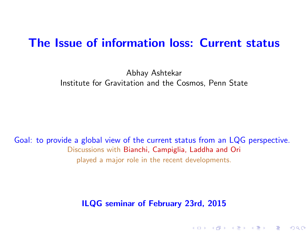#### The Issue of information loss: Current status

Abhay Ashtekar Institute for Gravitation and the Cosmos, Penn State

Goal: to provide a global view of the current status from an LQG perspective. Discussions with Bianchi, Campiglia, Laddha and Ori played a major role in the recent developments.

<span id="page-0-0"></span>ILQG seminar of February 23rd, 2015

K ロ ▶ K 레 ▶ K 회 ▶ K 환 ▶ │ 환 │ ⊙ Q Q ⊙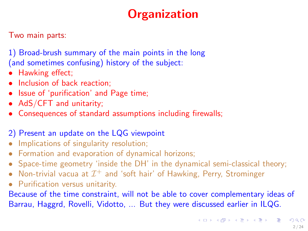# **Organization**

Two main parts:

1) Broad-brush summary of the main points in the long (and sometimes confusing) history of the subject:

- Hawking effect;
- Inclusion of back reaction;
- Issue of 'purification' and Page time;
- AdS/CFT and unitarity;
- Consequences of standard assumptions including firewalls;

#### 2) Present an update on the LQG viewpoint

- Implications of singularity resolution;<br>• Formation and evaporation of dynam
- Formation and evaporation of dynamical horizons;<br>• Space-time geometry 'inside the DH' in the dynam
- Space-time geometry 'inside the DH' in the dynamical semi-classical theory;
- Non-trivial vacua at  $\mathcal{I}^+$  and 'soft hair' of Hawking, Perry, Strominger
- Purification versus unitarity.

Because of the time constraint, will not be able to cover complementary ideas of Barrau, Haggrd, Rovelli, Vidotto, ... But they were discussed earlier in ILQG.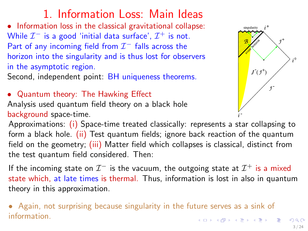# 1. Information Loss: Main Ideas

• Information loss in the classical gravitational collapse: While  $\mathcal{I}^-$  is a good 'initial data surface',  $\mathcal{I}^+$  is not. Part of any incoming field from  $\mathcal{I}^-$  falls across the horizon into the singularity and is thus lost for observers in the asymptotic region.

Second, independent point: BH uniqueness theorems.

• Quantum theory: The Hawking Effect

Analysis used quantum field theory on a black hole background space-time.

singularity  $J$  (  $j^+$ 

Approximations: (i) Space-time treated classically: represents a star collapsing to form a black hole. (ii) Test quantum fields; ignore back reaction of the quantum field on the geometry; (iii) Matter field which collapses is classical, distinct from the test quantum field considered. Then:

If the incoming state on  $\mathcal{I}^-$  is the vacuum, the outgoing state at  $\mathcal{I}^+$  is a mixed state which, at late times is thermal. Thus, information is lost in also in quantum theory in this approximation.

• Again, not surprising because singularity in the future serves as a sink of information.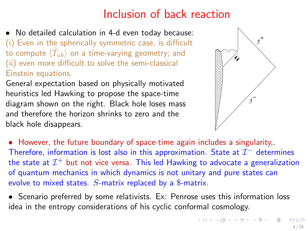# Inclusion of back reaction

• No detailed calculation in 4-d even today because: (i) Even in the spherically symmetric case, is difficult to compute  $\langle \hat{T}_{ab} \rangle$  on a time-varying geometry; and (ii) even more difficult to solve the semi-classical Einstein equations.

General expectation based on physically motivated heuristics led Hawking to propose the space-time diagram shown on the right. Black hole loses mass and therefore the horizon shrinks to zero and the black hole disappears.



• However, the future boundary of space-time again includes a singularity,. Therefore, information is lost also in this approximation. State at  $\mathcal{I}^-$  determines the state at  $\mathcal{I}^+$  but not vice versa. This led Hawking to advocate a generalization of quantum mechanics in which dynamics is not unitary and pure states can evolve to mixed states.  $S$ -matrix replaced by a \$-matrix.

• Scenario preferred by some relativists. Ex: Penrose uses this information loss idea in the entropy considerations of his cyclic conformal cosmology.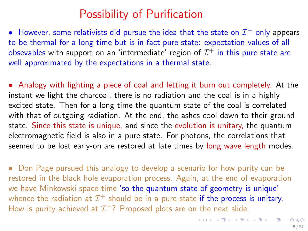### Possibility of Purification

• However, some relativists did pursue the idea that the state on  $\mathcal{I}^+$  only appears to be thermal for a long time but is in fact pure state: expectation values of all obsevables with support on an 'intermediate' region of  $\mathcal{I}^+$  in this pure state are well approximated by the expectations in a thermal state.

• Analogy with lighting a piece of coal and letting it burn out completely. At the instant we light the charcoal, there is no radiation and the coal is in a highly excited state. Then for a long time the quantum state of the coal is correlated with that of outgoing radiation. At the end, the ashes cool down to their ground state. Since this state is unique, and since the evolution is unitary, the quantum electromagnetic field is also in a pure state. For photons, the correlations that seemed to be lost early-on are restored at late times by long wave length modes.

<span id="page-4-0"></span>• Don Page pursued this analogy to develop a scenario for how purity can be restored in the black hole evaporation process. Again, at the end of evaporation we have Minkowski space-time 'so the quantum state of geometry is unique' whence the radiation at  $\mathcal{I}^+$  should be in a pure state if the process is unitary. How is purity achieved at  $\mathcal{I}^+$ ? Proposed plots are on the next slide.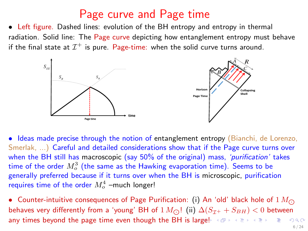#### Page curve and Page time

• Left figure. Dashed lines: evolution of the BH entropy and entropy in thermal radiation. Solid line: The Page curve depicting how entanglement entropy must behave if the final state at  $\mathcal{I}^+$  is pure. Page-time: when the solid curve turns around.



• Ideas made precise through the notion of entanglement entropy (Bianchi, de Lorenzo, Smerlak, ...) Careful and detailed considerations show that if the Page curve turns over when the BH still has macroscopic (say 50% of the original) mass, *'purification'* takes time of the order  $M_o^3$  (the same as the Hawking evaporation time). Seems to be generally preferred because if it turns over when the BH is microscopic, purification requires time of the order  $M_o^4$  –much longer!

<span id="page-5-0"></span>• Counter-intuitive consequences of Page Purification: (i) An 'old' black hole of  $1 M_{\odot}$ behaves very differently from a 'young' BH of  $1 M_{\odot}$ ! (ii)  $\Delta(S_{\mathcal{I}^+} + S_{BH}) < 0$  between any times beyond the page time even though the BH is l[arg](#page-4-0)e[!](#page-6-0)  $\langle \oplus \rangle$  and  $\langle \oplus \rangle$  and  $\langle \oplus \rangle$ 6 / 24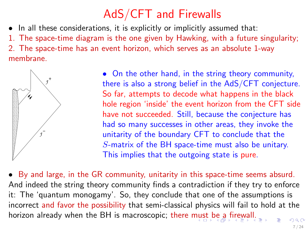# AdS/CFT and Firewalls

• In all these considerations, it is explicitly or implicitly assumed that:

1. The space-time diagram is the one given by Hawking, with a future singularity; 2. The space-time has an event horizon, which serves as an absolute 1-way

membrane.



<span id="page-6-0"></span>• On the other hand, in the string theory community, there is also a strong belief in the AdS/CFT conjecture. So far, attempts to decode what happens in the black hole region 'inside' the event horizon from the CFT side have not succeeded. Still, because the conjecture has had so many successes in other areas, they invoke the unitarity of the boundary CFT to conclude that the S-matrix of the BH space-time must also be unitary. This implies that the outgoing state is pure.

• By and large, in the GR community, unitarity in this space-time seems absurd. And indeed the string theory community finds a contradiction if they try to enforce it: The 'quantum monogamy'. So, they conclude that one of the assumptions is incorrect and favor the possibility that semi-classical physics will fail to hold at the horizon already when the BH is macroscopic; there [mus](#page-5-0)[t b](#page-7-0)[e](#page-5-0) [a](#page-6-0) [fi](#page-7-0)[re](#page-0-0)[wal](#page-23-0)[l.](#page-0-0)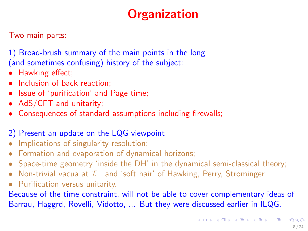# <span id="page-7-0"></span>**Organization**

Two main parts:

1) Broad-brush summary of the main points in the long (and sometimes confusing) history of the subject:

- Hawking effect;
- Inclusion of back reaction;
- Issue of 'purification' and Page time;
- AdS/CFT and unitarity;
- Consequences of standard assumptions including firewalls;

#### 2) Present an update on the LQG viewpoint

- Implications of singularity resolution;<br>• Formation and evaporation of dynam
- Formation and evaporation of dynamical horizons;<br>• Space-time geometry 'inside the DH' in the dynam
- Space-time geometry 'inside the DH' in the dynamical semi-classical theory;
- Non-trivial vacua at  $\mathcal{I}^+$  and 'soft hair' of Hawking, Perry, Strominger
- Purification versus unitarity.

Because of the time constraint, will not be able to cover complementary ideas of Barrau, Haggrd, Rovelli, Vidotto, ... But they were discussed earlier in ILQG.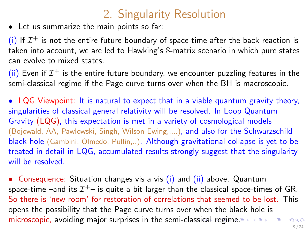# 2. Singularity Resolution

• Let us summarize the main points so far:

(i) If  $\mathcal{I}^+$  is not the entire future boundary of space-time after the back reaction is taken into account, we are led to Hawking's \$-matrix scenario in which pure states can evolve to mixed states.

(ii) Even if  $\mathcal{I}^+$  is the entire future boundary, we encounter puzzling features in the semi-classical regime if the Page curve turns over when the BH is macroscopic.

• LQG Viewpoint: It is natural to expect that in a viable quantum gravity theory, singularities of classical general relativity will be resolved. In Loop Quantum Gravity (LQG), this expectation is met in a variety of cosmological models (Bojowald, AA, Pawlowski, Singh, Wilson-Ewing,....), and also for the Schwarzschild black hole (Gambini, Olmedo, Pullin,..). Although gravitational collapse is yet to be treated in detail in LQG, accumulated results strongly suggest that the singularity will be resolved.

<span id="page-8-0"></span>• Consequence: Situation changes vis a vis (i) and (ii) above. Quantum space-time —and its  $\mathcal{I}^{+-}$  is quite a bit larger than the classical space-times of GR. So there is 'new room' for restoration of correlations that seemed to be lost. This opens the possibility that the Page curve turns over when the black hole is microscopic, avoiding major surprises in the semi-cla[ssic](#page-7-0)[al](#page-9-0) [r](#page-7-0)[egi](#page-8-0)[m](#page-9-0)[e.](#page-0-0)  $299$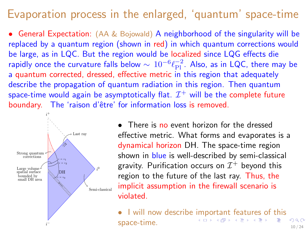### Evaporation process in the enlarged, 'quantum' space-time

• General Expectation: (AA & Bojowald) A neighborhood of the singularity will be replaced by a quantum region (shown in red) in which quantum corrections would be large, as in LQC. But the region would be localized since LQG effects die rapidly once the curvature falls below  $\sim 10^{-6} \ell_{\rm Pl}^{-2}$ . Also, as in LQC, there may be a quantum corrected, dressed, effective metric in this region that adequately describe the propagation of quantum radiation in this region. Then quantum space-time would again be asymptotically flat.  $\mathcal{I}^+$  will be the complete future boundary. The 'raison d'être' for information loss is removed.



There is no event horizon for the dressed<br>
effective metric. What forms and evaporate<br>
dynamical horizon DH. The space-time regis<br>
shown in blue is well-described by semi-class<br>
gravity. Purification occurs on  $\mathcal{I}^+$  effective metric. What forms and evaporates is a dynamical horizon DH. The space-time region shown in blue is well-described by semi-classical gravity. Purification occurs on  $\mathcal{I}^+$  beyond this region to the future of the last ray. Thus, the implicit assumption in the firewall scenario is violated.

> <span id="page-9-0"></span>• I will now describe [im](#page-8-0)[po](#page-10-0)[rt](#page-8-0)[an](#page-9-0)[t](#page-10-0) [fea](#page-0-0)[tu](#page-23-0)[res](#page-0-0) [of](#page-23-0) [t](#page-0-0)[his](#page-23-0)  $\sum_{n=1}^{\infty}$  $\Omega$ space-time. 10 / 24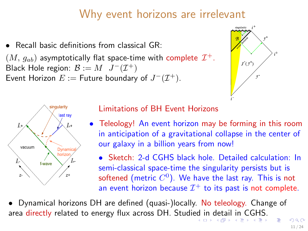## Why event horizons are irrelevant

• Recall basic definitions from classical GR:

 $(M, g_{ab})$  asymptotically flat space-time with complete  $\mathcal{I}^+$ . Black Hole region:  $\mathcal{B} := M \mathcal{J}^-(\mathcal{I}^+)$ Event Horizon  $E :=$  Future boundary of  $J^-(\mathcal{I}^+).$ 

<span id="page-10-0"></span>



Limitations of BH Event Horizons

- Teleology! An event horizon may be forming in this room in anticipation of a gravitational collapse in the center of our galaxy in a billion years from now!
	- Sketch: 2-d CGHS black hole. Detailed calculation: In semi-classical space-time the singularity persists but is softened (metric  $C^0).$  We have the last ray. This is not an event horizon because  $\mathcal{I}^+$  to its past is not complete.

• Dynamical horizons DH are defined (quasi-)locally. No teleology. Change of area directly relat[ed](#page-9-0) to energy flux across DH. Studied i[n](#page-11-0) [de](#page-9-0)[ta](#page-10-0)[il](#page-11-0) [in](#page-0-0) [C](#page-23-0)[GH](#page-0-0)[S.](#page-23-0)  $QQ$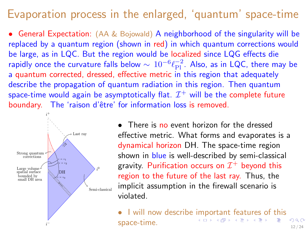### Evaporation process in the enlarged, 'quantum' space-time

• General Expectation: (AA & Bojowald) A neighborhood of the singularity will be replaced by a quantum region (shown in red) in which quantum corrections would be large, as in LQC. But the region would be localized since LQG effects die rapidly once the curvature falls below  $\sim 10^{-6} \ell_{\rm Pl}^{-2}$ . Also, as in LQC, there may be a quantum corrected, dressed, effective metric in this region that adequately describe the propagation of quantum radiation in this region. Then quantum space-time would again be asymptotically flat.  $\mathcal{I}^+$  will be the complete future boundary. The 'raison d'être' for information loss is removed.



• There is no event horizon for the dressed<br>effective metric. What forms and evaporate<br>dynamical horizon DH. The space-time regis<br>shown in blue is well-described by semi-class<br>gravity. Purification occurs on  $\mathcal{I}^+$  be effective metric. What forms and evaporates is a dynamical horizon DH. The space-time region shown in blue is well-described by semi-classical gravity. Purification occurs on  $\mathcal{I}^+$  beyond this region to the future of the last ray. Thus, the implicit assumption in the firewall scenario is violated.

> <span id="page-11-0"></span>• I will now describe [im](#page-10-0)[po](#page-12-0)[rt](#page-10-0)[an](#page-11-0)[t](#page-12-0) [fea](#page-0-0)[tu](#page-23-0)[res](#page-0-0) [of](#page-23-0) [t](#page-0-0)[his](#page-23-0)  $\sum_{n=1}^{\infty}$  $\Omega$ space-time. 12 / 24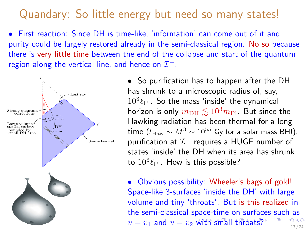#### Quandary: So little energy but need so many states!

• First reaction: Since DH is time-like, 'information' can come out of it and purity could be largely restored already in the semi-classical region. No so because there is very little time between the end of the collapse and start of the quantum region along the vertical line, and hence on  $\mathcal{I}^+$ .



• So purification has to happen after the DH has shrunk to a microscopic radius of, say,  $10^3 \ell_{\text{Pl}}$ . So the mass 'inside' the dynamical horizon is only  $m<sub>DH</sub> \leq 10<sup>3</sup> m<sub>PI</sub>$ . But since the Hawking radiation has been thermal for a long time ( $t_{\text{Haw}} \sim M^3 \sim 10^{55}$  Gy for a solar mass BH!), purification at  $\mathcal{I}^+$  requires a HUGE number of states 'inside' the DH when its area has shrunk to  $10^3\ell_{\rm Pl}$ . How is this possible?

<span id="page-12-0"></span>• Obvious possibility: Wheeler's bags of gold! Space-like 3-surfaces 'inside the DH' with large volume and tiny 'throats'. But is this realized in the semi-classical space-time on surfac[es](#page-23-0) [s](#page-0-0)[uch](#page-23-0) as  $v = v_1$  and  $v = v_2$  [wi](#page-11-0)t[h](#page-13-0) [s](#page-11-0)[ma](#page-12-0)[ll](#page-13-0) [th](#page-0-0)[ro](#page-23-0)[ats](#page-0-0)[?](#page-23-0)  $\frac{1}{2}$   $\frac{1}{24}$   $\frac{1}{24}$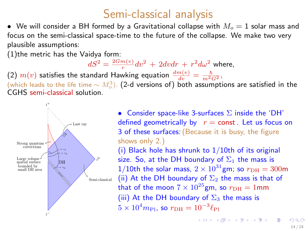## Semi-classical analysis

• We will consider a BH formed by a Gravitational collapse with  $M<sub>o</sub> = 1$  solar mass and focus on the semi-classical space-time to the future of the collapse. We make two very plausible assumptions:

(1)the metric has the Vaidya form:

 $dS^2=\frac{2Gm(v)}{r}dv^2\,+\,2dvdr\,+\,r^2d\omega^2$  where,

(2)  $m(v)$  satisfies the standard Hawking equation  $\frac{dm(v)}{dv} = \frac{\hbar}{m^2 G^2}$ ,

(which leads to the life time  $\sim M_o^3$ ). (2-d versions of) both assumptions are satisfied in the CGHS semi-classical solution.



• Consider space-like 3-surfaces  $\Sigma$  inside the 'DH' defined geometrically by  $r =$  const. Let us focus on 3 of these surfaces:(Because it is busy, the figure shows only 2.) (i) Black hole has shrunk to  $1/10$ th of its original size. So, at the DH boundary of  $\Sigma_1$  the mass is 1/10th the solar mass,  $2 \times 10^{31}$ gm; so  $r<sub>DH</sub> = 300$ m (ii) At the DH boundary of  $\Sigma_2$  the mass is that of that of the moon  $7 \times 10^{25}$ gm, so  $r_{\text{DH}} = 1$ mm (iii) At the DH boundary of  $\Sigma_3$  the mass is  $5 \times 10^4 m_{\rm Pl}$ , so  $r_{\rm DH} = 10^{-3} \ell_{\rm Pl}$ 

<span id="page-13-0"></span>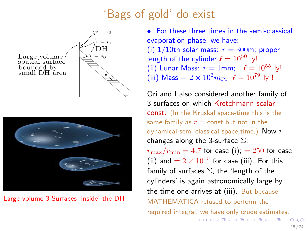#### 'Bags of gold' do exist





Large volume 3-Surfaces 'inside' the DH

• For these three times in the semi-classical evaporation phase, we have: (i)  $1/10$ th solar mass:  $r = 300$ m; proper length of the cylinder  $\ell = 10^{50}$  ly! (ii) Lunar Mass:  $r = 1$ mm;  $\ell = 10^{55}$  ly! (iii) Mass =  $2 \times 10^3 m_{\text{Pl}}$   $\ell = 10^{79}$  ly!!

Ori and I also considered another family of 3-surfaces on which Kretchmann scalar const. (In the Kruskal space-time this is the same family as  $r =$  const but not in the dynamical semi-classical space-time.) Now  $r$ changes along the 3-surface  $\Sigma$ :  $r_{\text{max}}/r_{\text{min}} = 4.7$  for case (i); = 250 for case (ii) and  $= 2 \times 10^{10}$  for case (iii). For this

family of surfaces  $\Sigma$ , the 'length of the cylinders' is again astronomically large by the time one arrives at (iii). But because MATHEMATICA refused to perform the required integral, we have only crude estimates.

 $\Omega$ 15 / 24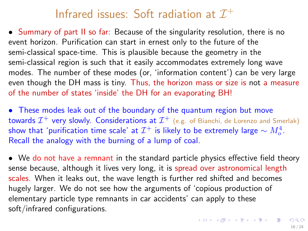# Infrared issues: Soft radiation at  $\mathcal{I}^+$

• Summary of part II so far: Because of the singularity resolution, there is no event horizon. Purification can start in ernest only to the future of the semi-classical space-time. This is plausible because the geometry in the semi-classical region is such that it easily accommodates extremely long wave modes. The number of these modes (or, 'information content') can be very large even though the DH mass is tiny. Thus, the horizon mass or size is not a measure of the number of states 'inside' the DH for an evaporating BH!

• These modes leak out of the boundary of the quantum region but move towards  $\mathcal{I}^+$  very slowly. Considerations at  $\mathcal{I}^+$  (e.g. of Bianchi, de Lorenzo and Smerlak) show that 'purification time scale' at  $\mathcal{I}^+$  is likely to be extremely large  $\sim M_o^4$ . Recall the analogy with the burning of a lump of coal.

• We do not have a remnant in the standard particle physics effective field theory sense because, although it lives very long, it is spread over astronomical length scales. When it leaks out, the wave length is further red shifted and becomes hugely larger. We do not see how the arguments of 'copious production of elementary particle type remnants in car accidents' can apply to these soft/infrared configurations.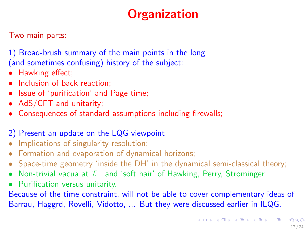# **Organization**

Two main parts:

1) Broad-brush summary of the main points in the long (and sometimes confusing) history of the subject:

- Hawking effect;
- Inclusion of back reaction;
- Issue of 'purification' and Page time;
- AdS/CFT and unitarity;
- Consequences of standard assumptions including firewalls;

#### 2) Present an update on the LQG viewpoint

- Implications of singularity resolution;<br>• Formation and evaporation of dynam
- Formation and evaporation of dynamical horizons;<br>• Space-time geometry 'inside the DH' in the dynam
- Space-time geometry 'inside the DH' in the dynamical semi-classical theory;
- Non-trivial vacua at  $\mathcal{I}^+$  and 'soft hair' of Hawking, Perry, Strominger
- Purification versus unitarity.

Because of the time constraint, will not be able to cover complementary ideas of Barrau, Haggrd, Rovelli, Vidotto, ... But they were discussed earlier in ILQG.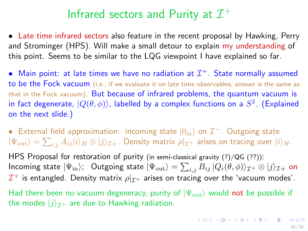# Infrared sectors and Purity at  $\mathcal{I}^+$

• Late time infrared sectors also feature in the recent proposal by Hawking, Perry and Strominger (HPS). Will make a small detour to explain my understanding of this point. Seems to be similar to the LQG viewpoint I have explained so far.

• Main point: at late times we have no radiation at  $\mathcal{I}^+$ . State normally assumed to be the Fock vacuum (i.e., if we evaluate it on late time observables, answer is the same as that in the Fock vacuum). But because of infrared problems, the quantum vacuum is in fact degenerate,  $|Q(\theta, \phi)\rangle$ , labelled by a complex functions on a  $S^2$ . (Explained on the next slide.)

• External field approximation: incoming state  $|0_{\rm in}\rangle$  on  $\mathcal{I}^-$ . Outgoing state  $|\Psi_{\rm out}\rangle=\sum_{i,j}A_{ij}|i\rangle_H\otimes|j\rangle_{\mathcal{I}+}.$  Density matrix  $\rho|_{\mathcal{I}^+}$  arises on tracing over  $|i\rangle_H.$ 

HPS Proposal for restoration of purity (in semi-classical gravity (?)/QG (??)): Incoming state  $|\Psi_{\rm in}\rangle$ ; Outgoing state  $|\Psi_{\rm out}\rangle=\sum_{i,j}B_{ij}\,|Q_i(\theta,\phi)\rangle_{\mathcal{I}^+}\otimes|j\rangle_{\mathcal{I}^+}$  on  $\mathcal{I}^+$  is entangled. Density matrix  $\rho|_{\mathcal{I}^+}$  arises on tracing over the 'vacuum modes'.

<span id="page-17-0"></span>Had there been no vacuum degeneracy, purity of  $|\Psi_{\text{out}}\rangle$  would not be possible if the modes  $|j\rangle_{\tau+}$  are due to Hawking radiation.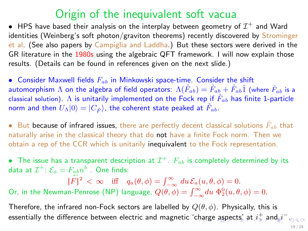#### Origin of the inequivalent soft vacua

 $\bullet~$  HPS have based their analysis on the interplay between geometry of  $\mathcal{I}^+$  and Ward identities (Weinberg's soft photon/graviton theorems) recently discovered by Strominger et al. (See also papers by Campiglia and Laddha.) But these sectors were derived in the GR literature in the 1980s using the algebraic QFT framework. I will now explain those results. (Details can be found in references given on the next slide.)

• Consider Maxwell fields  $F_{ab}$  in Minkowski space-time. Consider the shift automorphism  $\Lambda$  on the algebra of field operators:  $\Lambda(\hat{F}_{ab}) = \hat{F}_{ab} + \hat{F}_{ab}\hat{1}$  (where  $\hat{F}_{ab}$  is a classical solution). A is unitarily implemented on the Fock rep if  $\tilde{F}_{ab}$  has finite 1-particle norm and then  $U_{\Lambda}|0\rangle = |C_{\hat{F}}\rangle$ , the coherent state peaked at  $F_{ab}$ .

• But because of infrared issues, there are perfectly decent classical solutions  $\bar{F}_{ab}$  that naturally arise in the classical theory that do not have a finite Fock norm. Then we obtain a rep of the CCR which is unitarily inequivalent to the Fock representation.

 $\bullet$  The issue has a transparent description at  $\mathcal{I}^{+}.$   $F_{ab}$  is completely determined by its data at  $\mathcal{I}^+ \colon \mathcal{E}_a = F_{\underset{\leftarrow}{a}b}n^b$  . One finds:

 $||F||^2 < \infty$  iff  $q_a(\theta, \phi) = \int_{-\infty}^{\infty} du \, \mathcal{E}_a(u, \theta, \phi) = 0.$ Or, in the Newman-Penrose (NP) language,  $Q(\theta, \phi) = \int_{-\infty}^{\infty} du \ \Phi_2^0(u, \theta, \phi) = 0$ .

<span id="page-18-0"></span>Therefore, the infrared non-Fock sectors are labelled by  $Q(\theta, \phi)$ . Physically, this is essentially the difference between electric and magnetic '[cha](#page-17-0)r[ge](#page-19-0)[asp](#page-18-0)[e](#page-19-0)[cts](#page-0-0)[' at](#page-23-0)  $i^{\pm}_z$  $i^{\pm}_z$  [a](#page-23-0)[nd](#page-0-0)\_ $i^-$  .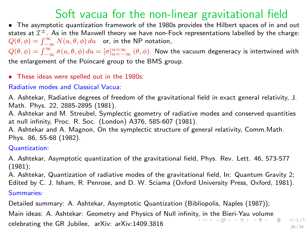## Soft vacua for the non-linear gravitational field

• The asymptotic quantization framework of the 1980s provides the Hilbert spaces of in and out states at  $\mathcal{I}^{\pm}$ . As in the Maxwell theory we have non-Fock representations labelled by the charge:  $Q(\theta, \phi) = \int_{-\infty}^{\infty} N(u, \theta, \phi) du$  or, in the NP notation,

 $Q(\theta,\phi)=\int_{-\infty}^{\infty}\dot{\sigma}(u,\theta,\phi)\,du=[\sigma]_{u=-\infty}^{u=\infty}\,(\theta,\phi)$ . Now the vacuum degeneracy is intertwined with the enlargement of the Poincaré group to the BMS group.

• These ideas were spelled out in the 1980s:

Radiative modes and Classical Vacua:

A. Ashtekar, Radiative degrees of freedom of the gravitational field in exact general relativity, J. Math. Phys. 22, 2885-2895 (1981).

A. Ashtekar and M. Streubel, Symplectic geometry of radiative modes and conserved quantities at null infinity, Proc. R. Soc. (London) A376, 585-607 (1981).

A. Ashtekar and A. Magnon, On the symplectic structure of general relativity, Comm.Math. Phys. 86, 55-68 (1982).

Quantization:

A. Ashtekar, Asymptotic quantization of the gravitational field, Phys. Rev. Lett. 46, 573-577 (1981);

A. Ashtekar, Quantization of radiative modes of the gravitational field, In: Quantum Gravity 2; Edited by C. J. Isham, R. Penrose, and D. W. Sciama (Oxford University Press, Oxford, 1981).

Summaries:

Detailed summary: A. Ashtekar, Asymptotic Quantization (Bibliopolis, Naples (1987));

<span id="page-19-0"></span>Main ideas: A. Ashtekar: Geometry and Physics of Null infinit[y, i](#page-18-0)n [t](#page-20-0)[he](#page-18-0) [B](#page-19-0)[ie](#page-20-0)[ri-Y](#page-0-0)[au](#page-23-0) [vol](#page-0-0)[um](#page-23-0)[e](#page-0-0) celebrating the GR Jubilee, arXiv: arXiv:1409.3816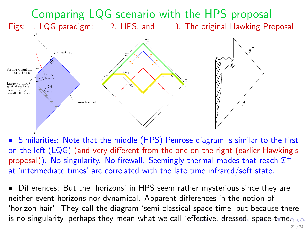

• Similarities: Note that the middle (HPS) Penrose diagram is similar to the first on the left (LQG) (and very different from the one on the right (earlier Hawking's proposal)). No singularity. No firewall. Seemingly thermal modes that reach  $\mathcal{I}^+$ at 'intermediate times' are correlated with the late time infrared/soft state.

<span id="page-20-0"></span>'horizon hair'. They call the diagram 'semi-classical space-time' but because there • Differences: But the 'horizons' in HPS seem rather mysterious since they are neither event horizons nor dynamical. Apparent differences in the notion of is no singularity, perhaps they mean what we call 'eff[ec](#page-19-0)t[ive](#page-21-0)[,](#page-19-0) [dr](#page-20-0)[e](#page-21-0)[sse](#page-0-0)[d'](#page-23-0) [sp](#page-0-0)[ace](#page-23-0)[-t](#page-0-0)[ime](#page-23-0).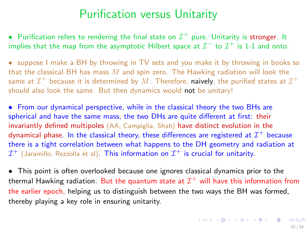## Purification versus Unitarity

 $\bullet~$  Purification refers to rendering the final state on  $\mathcal{I}^+$  pure. Unitarity is stronger. It implies that the map from the asymptotic Hilbert space at  $\mathcal{I}^-$  to  $\mathcal{I}^+$  is 1-1 and onto.

• suppose I make a BH by throwing in TV sets and you make it by throwing in books so that the classical BH has mass  $M$  and spin zero. The Hawking radiation will look the same at  $\mathcal{I}^+$  because it is determined by  $M.$  Therefore, **naively**, the purified states at  $\mathcal{I}^+$ should also look the same. But then dynamics would not be unitary!

• From our dynamical perspective, while in the classical theory the two BHs are spherical and have the same mass, the two DHs are quite different at first: their invariantly defined multipoles (AA, Campiglia, Shah) have distinct evolution in the dynamical phase. In the classical theory, these differences are registered at  $\mathcal{I}^+$  because there is a tight correlation between what happens to the DH geometry and radiation at  $\mathcal{I}^+$  (Jaramillo, Rezzolla et al). <code>This</code> information on  $\mathcal{I}^+$  is crucial for unitarity.

<span id="page-21-0"></span>• This point is often overlooked because one ignores classical dynamics prior to the thermal Hawking radiation. But the quantum state at  $\mathcal{I}^+$  will have this information from the earlier epoch, helping us to distinguish between the two ways the BH was formed, thereby playing a key role in ensuring unitarity.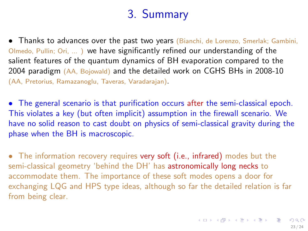# 3. Summary

- Thanks to advances over the past two years (Bianchi, de Lorenzo, Smerlak; Gambini, Olmedo, Pullin; Ori, ... ) we have significantly refined our understanding of the salient features of the quantum dynamics of BH evaporation compared to the 2004 paradigm (AA, Bojowald) and the detailed work on CGHS BHs in 2008-10 (AA, Pretorius, Ramazanoglu, Taveras, Varadarajan).
- The general scenario is that purification occurs after the semi-classical epoch. This violates a key (but often implicit) assumption in the firewall scenario. We have no solid reason to cast doubt on physics of semi-classical gravity during the phase when the BH is macroscopic.
- The information recovery requires very soft (i.e., infrared) modes but the semi-classical geometry 'behind the DH' has astronomically long necks to accommodate them. The importance of these soft modes opens a door for exchanging LQG and HPS type ideas, although so far the detailed relation is far from being clear.